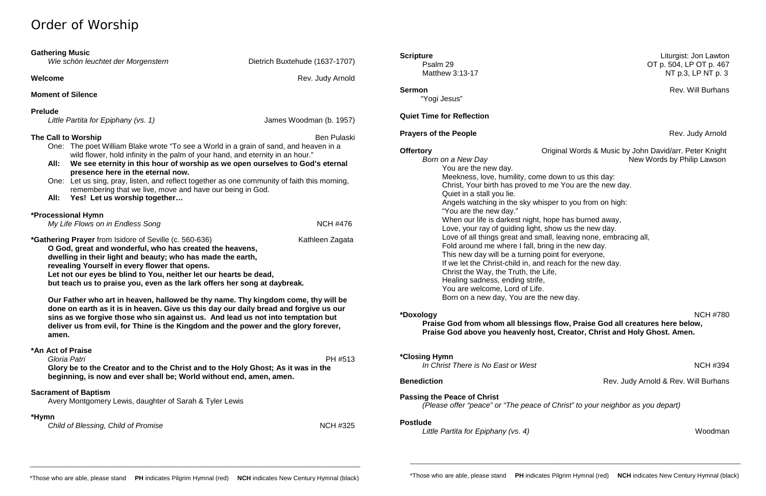# Order of Worship

|                                                                                                                                                                                                                                                                                                                                                                                                                 | <b>Gathering Music</b><br>Wie schön leuchtet der Morgenstern                                                                                              | Dietrich Buxtehude (1637-1707)                                                                                                                                      |  |  |
|-----------------------------------------------------------------------------------------------------------------------------------------------------------------------------------------------------------------------------------------------------------------------------------------------------------------------------------------------------------------------------------------------------------------|-----------------------------------------------------------------------------------------------------------------------------------------------------------|---------------------------------------------------------------------------------------------------------------------------------------------------------------------|--|--|
|                                                                                                                                                                                                                                                                                                                                                                                                                 |                                                                                                                                                           |                                                                                                                                                                     |  |  |
| Welcome<br>Rev. Judy Arnold                                                                                                                                                                                                                                                                                                                                                                                     |                                                                                                                                                           |                                                                                                                                                                     |  |  |
|                                                                                                                                                                                                                                                                                                                                                                                                                 | <b>Moment of Silence</b>                                                                                                                                  |                                                                                                                                                                     |  |  |
| <b>Prelude</b><br>Little Partita for Epiphany (vs. 1)                                                                                                                                                                                                                                                                                                                                                           |                                                                                                                                                           | James Woodman (b. 1957)                                                                                                                                             |  |  |
| The Call to Worship<br>One: The poet William Blake wrote "To see a World in a grain of sand, and heaven in a<br>wild flower, hold infinity in the palm of your hand, and eternity in an hour."                                                                                                                                                                                                                  |                                                                                                                                                           | <b>Ben Pulaski</b>                                                                                                                                                  |  |  |
|                                                                                                                                                                                                                                                                                                                                                                                                                 | We see eternity in this hour of worship as we open ourselves to God's eternal<br>All:<br>presence here in the eternal now.                                |                                                                                                                                                                     |  |  |
|                                                                                                                                                                                                                                                                                                                                                                                                                 | One: Let us sing, pray, listen, and reflect together as one community of faith this morning,<br>remembering that we live, move and have our being in God. |                                                                                                                                                                     |  |  |
| All:                                                                                                                                                                                                                                                                                                                                                                                                            | Yes! Let us worship together                                                                                                                              |                                                                                                                                                                     |  |  |
| *Processional Hymn<br>My Life Flows on in Endless Song<br><b>NCH #476</b>                                                                                                                                                                                                                                                                                                                                       |                                                                                                                                                           |                                                                                                                                                                     |  |  |
| <i>*Gathering Prayer from Isidore of Seville (c. 560-636)</i><br>Kathleen Zagata<br>O God, great and wonderful, who has created the heavens,<br>dwelling in their light and beauty; who has made the earth,<br>revealing Yourself in every flower that opens.<br>Let not our eyes be blind to You, neither let our hearts be dead,<br>but teach us to praise you, even as the lark offers her song at daybreak. |                                                                                                                                                           |                                                                                                                                                                     |  |  |
| Our Father who art in heaven, hallowed be thy name. Thy kingdom come, thy will be<br>done on earth as it is in heaven. Give us this day our daily bread and forgive us our<br>sins as we forgive those who sin against us. And lead us not into temptation but<br>deliver us from evil, for Thine is the Kingdom and the power and the glory forever,<br>amen.                                                  |                                                                                                                                                           |                                                                                                                                                                     |  |  |
|                                                                                                                                                                                                                                                                                                                                                                                                                 | *An Act of Praise<br>Gloria Patri                                                                                                                         | PH #513<br>Glory be to the Creator and to the Christ and to the Holy Ghost; As it was in the<br>beginning, is now and ever shall be; World without end, amen, amen. |  |  |
|                                                                                                                                                                                                                                                                                                                                                                                                                 | <b>Sacrament of Baptism</b><br>Avery Montgomery Lewis, daughter of Sarah & Tyler Lewis                                                                    |                                                                                                                                                                     |  |  |
| *Hymn<br>Child of Blessing, Child of Promise<br><b>NCH #325</b>                                                                                                                                                                                                                                                                                                                                                 |                                                                                                                                                           |                                                                                                                                                                     |  |  |

**Born on a New Day**  New Words by Philip Lawson You are the new day. Meekness, love, humility, come down to us this day: Christ, Your birth has proved to me You are the new day. Quiet in a stall you lie. Angels watching in the sky whisper to you from on high: "You are the new day." When our life is darkest night, hope has burned away, Love, your ray of guiding light, show us the new day. Love of all things great and small, leaving none, embracing all, Fold around me where I fall, bring in the new day. This new day will be a turning point for everyone, If we let the Christ-child in, and reach for the new day. Christ the Way, the Truth, the Life, Healing sadness, ending strife, You are welcome, Lord of Life. Born on a new day, You are the new day.

"Yogi Jesus"

### **Quiet Time for Reflection**

### **Prayers of the People Rev. Judy Arnold**

**\*Doxology** NCH #780 **Praise God from whom all blessings flow, Praise God all creatures here below, Praise God above you heavenly host, Creator, Christ and Holy Ghost. Amen.**

**\*Closing Hymn** 

*In Christ There is No East or West* New York 2008 **NCH #394** 

**Passing the Peace of Christ** *(Please offer "peace" or "The peace of Christ" to your neighbor as you depart)*

#### **Postlude**

*Little Partita for Epiphany (vs. 4)* Woodman

\_\_\_\_\_\_\_\_\_\_\_\_\_\_\_\_\_\_\_\_\_\_\_\_\_\_\_\_\_\_\_\_\_\_\_\_\_\_\_\_\_\_\_\_\_\_\_\_\_\_\_\_\_\_\_\_\_\_\_\_\_\_\_\_\_\_\_\_\_\_\_\_\_\_\_\_\_\_\_\_\_\_\_\_\_\_\_\_\_\_\_\_\_\_\_

\_\_\_\_\_\_\_\_\_\_\_\_\_\_\_\_\_\_\_\_\_\_\_\_\_\_\_\_\_\_\_\_\_\_\_\_\_\_\_\_\_\_\_\_\_\_\_\_\_\_\_\_\_\_\_\_\_\_\_\_\_\_\_\_\_\_\_\_\_\_\_\_\_\_\_\_\_\_\_\_\_\_\_\_\_\_\_\_\_\_\_\_\_\_\_

**Scripture** Liturgist: Jon Lawton<br>Psalm 29 **Dividends Controlled Control** Control Control Control Control Control Control Control Control Control Control Control Control Control Control Control Control Control Control Cont OT p. 504, LP OT p. 467 Matthew 3:13-17 Matthew 3:13-17

**Sermon** Rev. Will Burhans

**Offertory Original Words & Music by John David/arr. Peter Knight** 

**Benediction Benediction Rev. Judy Arnold & Rev. Will Burhans**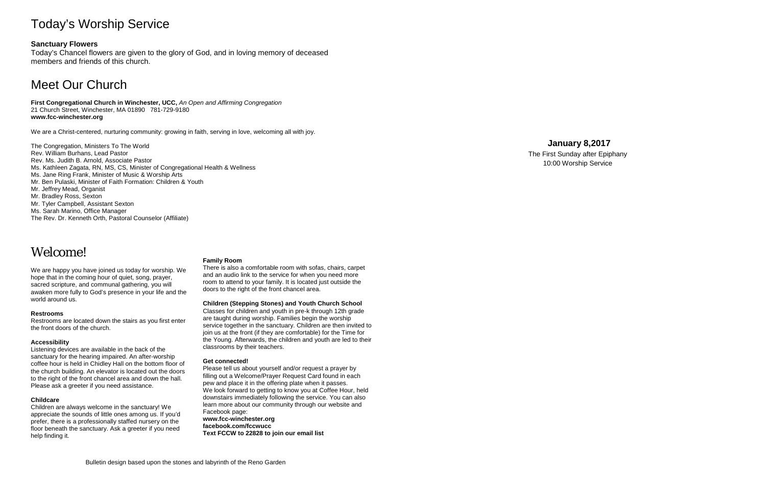# Today's Worship Service

### **Sanctuary Flowers**

Today's Chancel flowers are given to the glory of God, and in loving memory of deceased members and friends of this church.

# Meet Our Church

**First Congregational Church in Winchester, UCC,** *An Open and Affirming Congregation* 21 Church Street, Winchester, MA 01890 781-729-9180 **www.fcc-winchester.org**

We are a Christ-centered, nurturing community: growing in faith, serving in love, welcoming all with joy.

The Congregation, Ministers To The World Rev. William Burhans, Lead Pastor Rev. Ms. Judith B. Arnold, Associate Pastor Ms. Kathleen Zagata, RN, MS, CS, Minister of Congregational Health & Wellness Ms. Jane Ring Frank, Minister of Music & Worship Arts Mr. Ben Pulaski, Minister of Faith Formation: Children & Youth Mr. Jeffrey Mead, Organist Mr. Bradley Ross, Sexton Mr. Tyler Campbell, Assistant Sexton Ms. Sarah Marino, Office Manager The Rev. Dr. Kenneth Orth, Pastoral Counselor (Affiliate)

# Welcome!

We are happy you have joined us today for worship. We hope that in the coming hour of quiet, song, prayer, sacred scripture, and communal gathering, you will awaken more fully to God's presence in your life and the world around us.

#### **Restrooms**

Restrooms are located down the stairs as you first enter the front doors of the church.

#### **Accessibility**

Listening devices are available in the back of the sanctuary for the hearing impaired. An after-worship coffee hour is held in Chidley Hall on the bottom floor of the church building. An elevator is located out the doors to the right of the front chancel area and down the hall. Please ask a greeter if you need assistance.

#### **Childcare**

Children are always welcome in the sanctuary! We appreciate the sounds of little ones among us. If you'd prefer, there is a professionally staffed nursery on the floor beneath the sanctuary. Ask a greeter if you need help finding it.

#### **Family Room**

There is also a comfortable room with sofas, chairs, carpet and an audio link to the service for when you need more room to attend to your family. It is located just outside the doors to the right of the front chancel area.

**Children (Stepping Stones) and Youth Church School**

Classes for children and youth in pre-k through 12th grade are taught during worship. Families begin the worship service together in the sanctuary. Children are then invited to join us at the front (if they are comfortable) for the Time for the Young. Afterwards, the children and youth are led to their classrooms by their teachers.

#### **Get connected!**

Please tell us about yourself and/or request a prayer by filling out a Welcome/Prayer Request Card found in each pew and place it in the offering plate when it passes. We look forward to getting to know you at Coffee Hour, held downstairs immediately following the service. You can also learn more about our community through our website and Facebook page: **www.fcc-winchester.org facebook.com/fccwucc Text FCCW to 22828 to join our email list**

### **January 8,2017**

The First Sunday after Epiphany 10:00 Worship Service